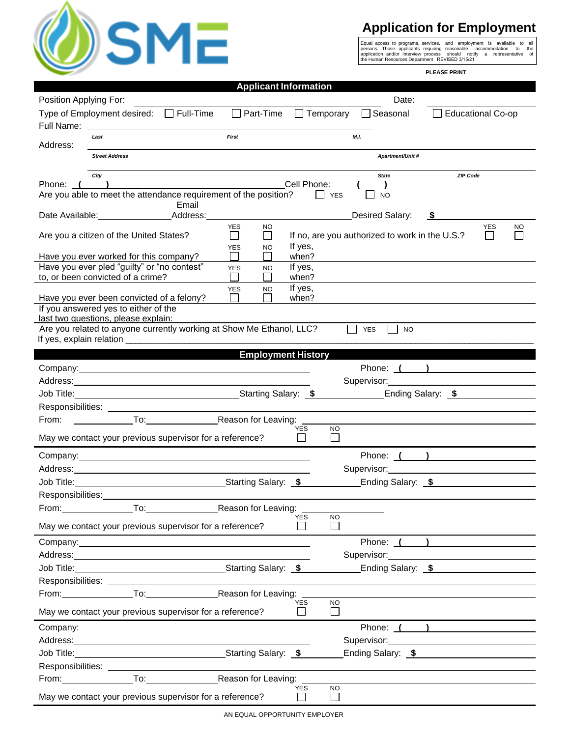

## **Application for Employment**

Equal access to programs, services, and employment is available to all<br>persons. Those applicants requining reasonable accommodation to the<br>application and/or interview process should notify a representative of<br>the Human Re

**PLEASE PRINT**

| Position Applying For:<br>Type of Employment desired: □ Full-Time<br>Full Name:<br>Last<br>Address:<br>City<br>Phone: (<br>Are you able to meet the attendance requirement of the position?<br>Date Available: Address: | <b>Street Address</b>   |       | <b>First</b> | $\Box$ Part-Time          |                            | $\Box$ Temporary          | Date:<br>□ Seasonal                                     |      | <b>Educational Co-op</b> |            |           |
|-------------------------------------------------------------------------------------------------------------------------------------------------------------------------------------------------------------------------|-------------------------|-------|--------------|---------------------------|----------------------------|---------------------------|---------------------------------------------------------|------|--------------------------|------------|-----------|
|                                                                                                                                                                                                                         |                         |       |              |                           |                            |                           |                                                         |      |                          |            |           |
|                                                                                                                                                                                                                         |                         |       |              |                           |                            |                           |                                                         |      |                          |            |           |
|                                                                                                                                                                                                                         |                         |       |              |                           |                            |                           | M.L                                                     |      |                          |            |           |
|                                                                                                                                                                                                                         |                         |       |              |                           |                            |                           | <b>Apartment/Unit #</b>                                 |      |                          |            |           |
|                                                                                                                                                                                                                         |                         |       |              |                           |                            |                           | <b>State</b>                                            |      | <b>ZIP Code</b>          |            |           |
|                                                                                                                                                                                                                         |                         |       |              |                           | Cell Phone:                |                           | $\lambda$                                               |      |                          |            |           |
|                                                                                                                                                                                                                         |                         | Email |              |                           |                            | <b>SALES</b>              | <b>NO</b>                                               |      |                          |            |           |
|                                                                                                                                                                                                                         |                         |       |              |                           |                            |                           | <b>Desired Salary:</b>                                  | - 56 |                          |            |           |
| Are you a citizen of the United States?                                                                                                                                                                                 |                         |       | <b>YES</b>   | <b>NO</b><br>$\Box$       |                            |                           | If no, are you authorized to work in the U.S.?          |      |                          | <b>YES</b> | <b>NO</b> |
| Have you ever worked for this company?                                                                                                                                                                                  |                         |       | <b>YES</b>   | <b>NO</b>                 | If yes,<br>when?           |                           |                                                         |      |                          |            |           |
| Have you ever pled "guilty" or "no contest"                                                                                                                                                                             |                         |       | <b>YES</b>   | <b>NO</b>                 | If yes,                    |                           |                                                         |      |                          |            |           |
| to, or been convicted of a crime?                                                                                                                                                                                       |                         |       |              |                           | when?                      |                           |                                                         |      |                          |            |           |
| Have you ever been convicted of a felony?                                                                                                                                                                               |                         |       | <b>YES</b>   | NO.                       | If yes,<br>when?           |                           |                                                         |      |                          |            |           |
| If you answered yes to either of the<br>last two questions, please explain:                                                                                                                                             |                         |       |              |                           |                            |                           |                                                         |      |                          |            |           |
| Are you related to anyone currently working at Show Me Ethanol, LLC?                                                                                                                                                    |                         |       |              |                           |                            |                           | <b>YES</b><br><b>NO</b>                                 |      |                          |            |           |
|                                                                                                                                                                                                                         |                         |       |              |                           |                            |                           |                                                         |      |                          |            |           |
|                                                                                                                                                                                                                         |                         |       |              | <b>Employment History</b> |                            |                           |                                                         |      |                          |            |           |
|                                                                                                                                                                                                                         |                         |       |              |                           |                            |                           | Phone: ( )                                              |      |                          |            |           |
|                                                                                                                                                                                                                         |                         |       |              |                           |                            |                           | Supervisor: Victor Andrews                              |      |                          |            |           |
| Job Title: Starting Salary: \$                                                                                                                                                                                          |                         |       |              |                           |                            |                           | Ending Salary: \$                                       |      |                          |            |           |
|                                                                                                                                                                                                                         |                         |       |              |                           |                            |                           |                                                         |      |                          |            |           |
| From:                                                                                                                                                                                                                   | To: Reason for Leaving: |       |              |                           |                            |                           |                                                         |      |                          |            |           |
| May we contact your previous supervisor for a reference?                                                                                                                                                                |                         |       |              |                           | <b>YES</b><br>$\perp$      | NO.<br>$\Box$             |                                                         |      |                          |            |           |
|                                                                                                                                                                                                                         |                         |       |              |                           |                            |                           | Phone: ( )                                              |      |                          |            |           |
|                                                                                                                                                                                                                         |                         |       |              |                           |                            |                           | Supervisor: Supervisor:                                 |      |                          |            |           |
|                                                                                                                                                                                                                         |                         |       |              |                           |                            |                           | Ending Salary: \$                                       |      |                          |            |           |
| Responsibilities:                                                                                                                                                                                                       |                         |       |              |                           |                            |                           |                                                         |      |                          |            |           |
| From: To: To: Reason for Leaving:                                                                                                                                                                                       |                         |       |              |                           |                            |                           |                                                         |      |                          |            |           |
| May we contact your previous supervisor for a reference?                                                                                                                                                                |                         |       |              |                           | <b>YES</b><br>⊔            | NO.<br>$\mathsf{L}$       |                                                         |      |                          |            |           |
| Company: Company:                                                                                                                                                                                                       |                         |       |              |                           |                            |                           | Phone: ( )                                              |      |                          |            |           |
|                                                                                                                                                                                                                         |                         |       |              |                           |                            |                           | Supervisor: Supervisor:                                 |      |                          |            |           |
| Job Title: Starting Salary: \$                                                                                                                                                                                          |                         |       |              |                           |                            |                           | Ending Salary: \$                                       |      |                          |            |           |
|                                                                                                                                                                                                                         |                         |       |              |                           |                            |                           |                                                         |      |                          |            |           |
| From: To: To: Reason for Leaving:                                                                                                                                                                                       |                         |       |              |                           |                            |                           |                                                         |      |                          |            |           |
| May we contact your previous supervisor for a reference?                                                                                                                                                                |                         |       |              |                           | <b>YES</b><br>$\Box$       | NO.<br>$\sqcup$           |                                                         |      |                          |            |           |
| Company:                                                                                                                                                                                                                |                         |       |              |                           |                            |                           | Phone: ( )                                              |      |                          |            |           |
|                                                                                                                                                                                                                         |                         |       |              |                           |                            |                           | Supervisor: Management Communication of the Supervisor: |      |                          |            |           |
| Job Title: Starting Salary: \$                                                                                                                                                                                          |                         |       |              |                           |                            |                           | Ending Salary: \$                                       |      |                          |            |           |
|                                                                                                                                                                                                                         |                         |       |              |                           |                            |                           |                                                         |      |                          |            |           |
|                                                                                                                                                                                                                         |                         |       |              | Reason for Leaving:       |                            |                           |                                                         |      |                          |            |           |
| May we contact your previous supervisor for a reference?                                                                                                                                                                |                         |       |              |                           | <b>YES</b><br>$\mathbf{I}$ | <b>NO</b><br>$\mathsf{L}$ |                                                         |      |                          |            |           |